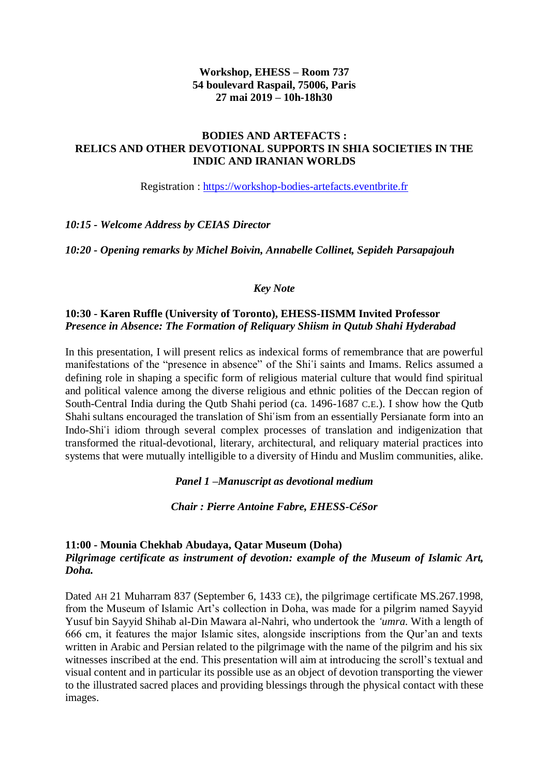### **Workshop, EHESS – Room 737 54 boulevard Raspail, 75006, Paris 27 mai 2019 – 10h-18h30**

### **BODIES AND ARTEFACTS : RELICS AND OTHER DEVOTIONAL SUPPORTS IN SHIA SOCIETIES IN THE INDIC AND IRANIAN WORLDS**

Registration : [https://workshop-bodies-artefacts.eventbrite.fr](https://workshop-bodies-artefacts.eventbrite.fr/)

#### *10:15 - Welcome Address by CEIAS Director*

*10:20 - Opening remarks by Michel Boivin, Annabelle Collinet, Sepideh Parsapajouh* 

### *Key Note*

### **10:30 - Karen Ruffle (University of Toronto), EHESS-IISMM Invited Professor** *Presence in Absence: The Formation of Reliquary Shiism in Qutub Shahi Hyderabad*

In this presentation, I will present relics as indexical forms of remembrance that are powerful manifestations of the "presence in absence" of the Shi'i saints and Imams. Relics assumed a defining role in shaping a specific form of religious material culture that would find spiritual and political valence among the diverse religious and ethnic polities of the Deccan region of South-Central India during the Qutb Shahi period (ca. 1496-1687 C.E.). I show how the Qutb Shahi sultans encouraged the translation of Shiʿism from an essentially Persianate form into an Indo-Shi'i idiom through several complex processes of translation and indigenization that transformed the ritual-devotional, literary, architectural, and reliquary material practices into systems that were mutually intelligible to a diversity of Hindu and Muslim communities, alike.

#### *Panel 1 –Manuscript as devotional medium*

*Chair : Pierre Antoine Fabre, EHESS-CéSor*

#### **11:00 - Mounia Chekhab Abudaya, Qatar Museum (Doha)** *Pilgrimage certificate as instrument of devotion: example of the Museum of Islamic Art, Doha.*

Dated AH 21 Muharram 837 (September 6, 1433 CE), the pilgrimage certificate MS.267.1998, from the Museum of Islamic Art's collection in Doha, was made for a pilgrim named Sayyid Yusuf bin Sayyid Shihab al-Din Mawara al-Nahri, who undertook the *'umra.* With a length of 666 cm, it features the major Islamic sites, alongside inscriptions from the Qur'an and texts written in Arabic and Persian related to the pilgrimage with the name of the pilgrim and his six witnesses inscribed at the end. This presentation will aim at introducing the scroll's textual and visual content and in particular its possible use as an object of devotion transporting the viewer to the illustrated sacred places and providing blessings through the physical contact with these images.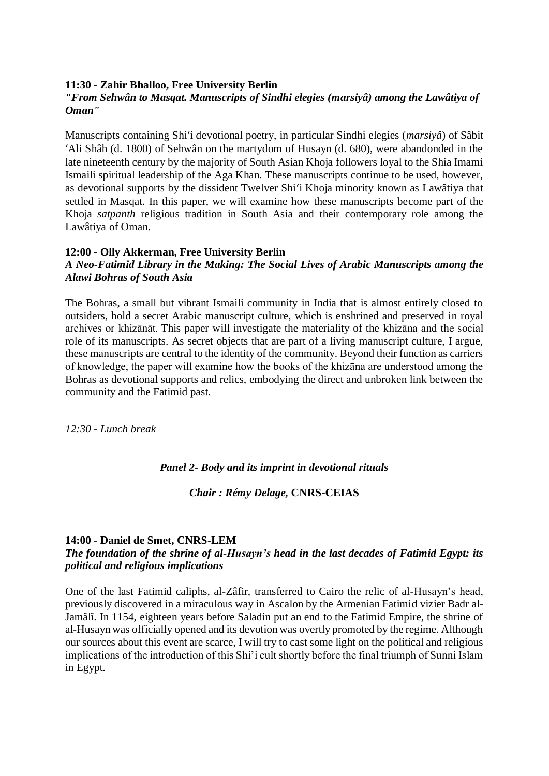### **11:30 - Zahir Bhalloo, Free University Berlin**

### *"From Sehwân to Masqat. Manuscripts of Sindhi elegies (marsiyâ) among the Lawâtiya of Oman"*

Manuscripts containing Shiʻi devotional poetry, in particular Sindhi elegies (*marsiyâ*) of Sâbit ʻAli Shâh (d. 1800) of Sehwân on the martydom of Husayn (d. 680), were abandonded in the late nineteenth century by the majority of South Asian Khoja followers loyal to the Shia Imami Ismaili spiritual leadership of the Aga Khan. These manuscripts continue to be used, however, as devotional supports by the dissident Twelver Shiʻi Khoja minority known as Lawâtiya that settled in Masqat. In this paper, we will examine how these manuscripts become part of the Khoja *satpanth* religious tradition in South Asia and their contemporary role among the Lawâtiya of Oman.

#### **12:00 - Olly Akkerman, Free University Berlin**

## *A Neo-Fatimid Library in the Making: The Social Lives of Arabic Manuscripts among the Alawi Bohras of South Asia*

The Bohras, a small but vibrant Ismaili community in India that is almost entirely closed to outsiders, hold a secret Arabic manuscript culture, which is enshrined and preserved in royal archives or khizānāt. This paper will investigate the materiality of the khizāna and the social role of its manuscripts. As secret objects that are part of a living manuscript culture, I argue, these manuscripts are central to the identity of the community. Beyond their function as carriers of knowledge, the paper will examine how the books of the khizāna are understood among the Bohras as devotional supports and relics, embodying the direct and unbroken link between the community and the Fatimid past.

*12:30 - Lunch break*

## *Panel 2- Body and its imprint in devotional rituals*

## *Chair : Rémy Delage,* **CNRS-CEIAS**

## **14:00 - Daniel de Smet, CNRS-LEM**

### *The foundation of the shrine of al-Husayn's head in the last decades of Fatimid Egypt: its political and religious implications*

One of the last Fatimid caliphs, al-Zâfir, transferred to Cairo the relic of al-Husayn's head, previously discovered in a miraculous way in Ascalon by the Armenian Fatimid vizier Badr al-Jamâlî. In 1154, eighteen years before Saladin put an end to the Fatimid Empire, the shrine of al-Husayn was officially opened and its devotion was overtly promoted by the regime. Although our sources about this event are scarce, I will try to cast some light on the political and religious implications of the introduction of this Shi'i cult shortly before the final triumph of Sunni Islam in Egypt.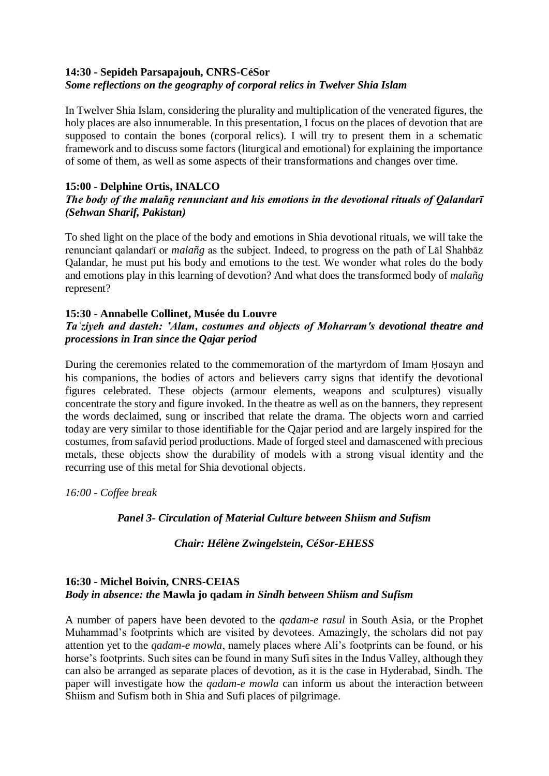# **14:30 - Sepideh Parsapajouh, CNRS-CéSor** *Some reflections on the geography of corporal relics in Twelver Shia Islam*

In Twelver Shia Islam, considering the plurality and multiplication of the venerated figures, the holy places are also innumerable. In this presentation, I focus on the places of devotion that are supposed to contain the bones (corporal relics). I will try to present them in a schematic framework and to discuss some factors (liturgical and emotional) for explaining the importance of some of them, as well as some aspects of their transformations and changes over time.

# **15:00 - Delphine Ortis, INALCO**

## *The body of the malañg renunciant and his emotions in the devotional rituals of Qalandarī (Sehwan Sharif, Pakistan)*

To shed light on the place of the body and emotions in Shia devotional rituals, we will take the renunciant qalandarī or *malañg* as the subject. Indeed, to progress on the path of Lāl Shahbāz Qalandar, he must put his body and emotions to the test. We wonder what roles do the body and emotions play in this learning of devotion? And what does the transformed body of *malañg* represent?

## **15:30 - Annabelle Collinet, Musée du Louvre**

# *Taʿziyeh and dasteh: ʽAlam, costumes and objects of Moharram's devotional theatre and processions in Iran since the Qajar period*

During the ceremonies related to the commemoration of the martyrdom of Imam Ḥosayn and his companions, the bodies of actors and believers carry signs that identify the devotional figures celebrated. These objects (armour elements, weapons and sculptures) visually concentrate the story and figure invoked. In the theatre as well as on the banners, they represent the words declaimed, sung or inscribed that relate the drama. The objects worn and carried today are very similar to those identifiable for the Qajar period and are largely inspired for the costumes, from safavid period productions. Made of forged steel and damascened with precious metals, these objects show the durability of models with a strong visual identity and the recurring use of this metal for Shia devotional objects.

*16:00 - Coffee break*

## *Panel 3- Circulation of Material Culture between Shiism and Sufism*

## *Chair: Hélène Zwingelstein, CéSor-EHESS*

## **16:30 - Michel Boivin, CNRS-CEIAS** *Body in absence: the* **Mawla jo qadam** *in Sindh between Shiism and Sufism*

A number of papers have been devoted to the *qadam-e rasul* in South Asia, or the Prophet Muhammad's footprints which are visited by devotees. Amazingly, the scholars did not pay attention yet to the *qadam-e mowla*, namely places where Ali's footprints can be found, or his horse's footprints. Such sites can be found in many Sufi sites in the Indus Valley, although they can also be arranged as separate places of devotion, as it is the case in Hyderabad, Sindh. The paper will investigate how the *qadam-e mowla* can inform us about the interaction between Shiism and Sufism both in Shia and Sufi places of pilgrimage.